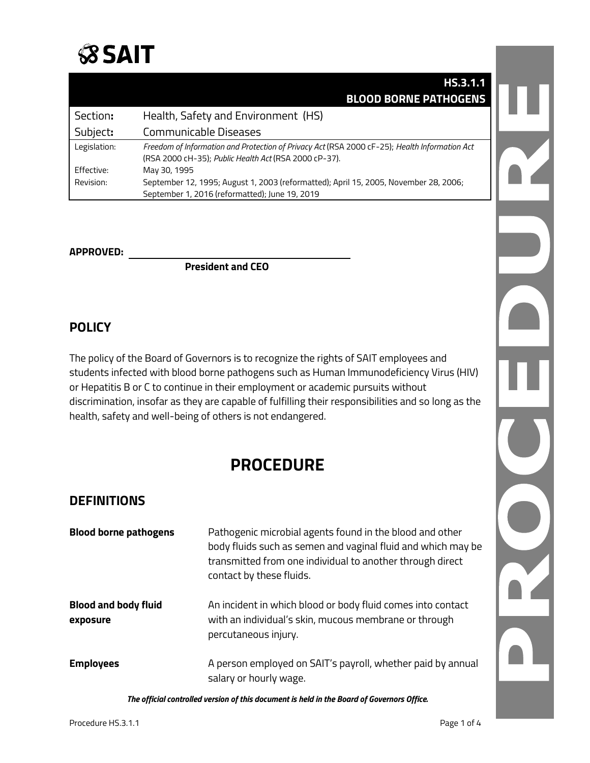

|              | HS.3.1.1                                                                                                                                               |
|--------------|--------------------------------------------------------------------------------------------------------------------------------------------------------|
|              | <b>BLOOD BORNE PATHOGENS</b>                                                                                                                           |
| Section:     | Health, Safety and Environment (HS)                                                                                                                    |
| Subject:     | Communicable Diseases                                                                                                                                  |
| Legislation: | Freedom of Information and Protection of Privacy Act (RSA 2000 cF-25); Health Information Act<br>(RSA 2000 cH-35); Public Health Act (RSA 2000 cP-37). |
| Effective:   | May 30, 1995                                                                                                                                           |
| Revision:    | September 12, 1995; August 1, 2003 (reformatted); April 15, 2005, November 28, 2006;                                                                   |
|              | September 1, 2016 (reformatted); June 19, 2019                                                                                                         |

#### **APPROVED:**

**President and CEO**

### **POLICY**

The policy of the Board of Governors is to recognize the rights of SAIT employees and students infected with blood borne pathogens such as Human Immunodeficiency Virus (HIV) or Hepatitis B or C to continue in their employment or academic pursuits without discrimination, insofar as they are capable of fulfilling their responsibilities and so long as the health, safety and well-being of others is not endangered.

# **PROCEDURE**

#### **DEFINITIONS**

| <b>Blood borne pathogens</b>            | Pathogenic microbial agents found in the blood and other<br>body fluids such as semen and vaginal fluid and which may be<br>transmitted from one individual to another through direct<br>contact by these fluids. |
|-----------------------------------------|-------------------------------------------------------------------------------------------------------------------------------------------------------------------------------------------------------------------|
| <b>Blood and body fluid</b><br>exposure | An incident in which blood or body fluid comes into contact<br>with an individual's skin, mucous membrane or through<br>percutaneous injury.                                                                      |
| <b>Employees</b>                        | A person employed on SAIT's payroll, whether paid by annual<br>salary or hourly wage.                                                                                                                             |

*The official controlled version of this document is held in the Board of Governors Office.*

L

 $\ddot{ }$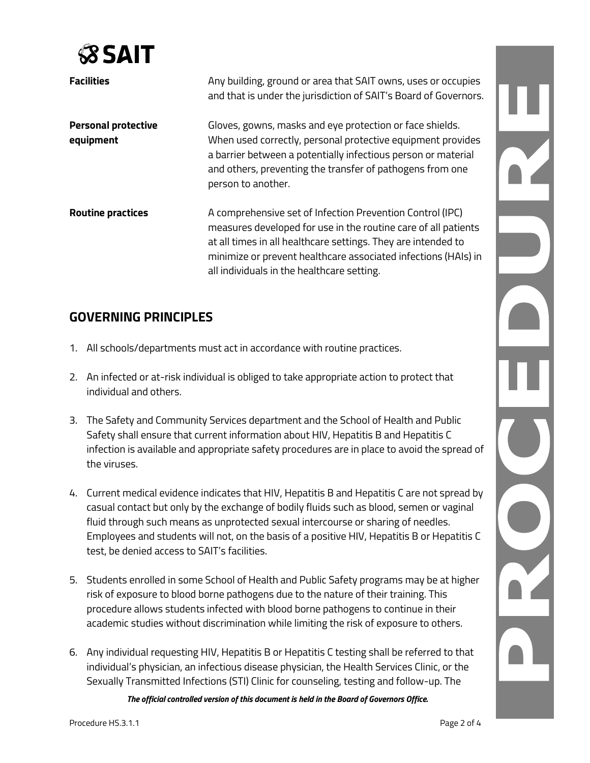

| <b>Facilities</b>                       | Any building, ground or area that SAIT owns, uses or occupies<br>and that is under the jurisdiction of SAIT's Board of Governors.                                                                                                                                                                            |
|-----------------------------------------|--------------------------------------------------------------------------------------------------------------------------------------------------------------------------------------------------------------------------------------------------------------------------------------------------------------|
| <b>Personal protective</b><br>equipment | Gloves, gowns, masks and eye protection or face shields.<br>When used correctly, personal protective equipment provides<br>a barrier between a potentially infectious person or material<br>and others, preventing the transfer of pathogens from one<br>person to another.                                  |
| <b>Routine practices</b>                | A comprehensive set of Infection Prevention Control (IPC)<br>measures developed for use in the routine care of all patients<br>at all times in all healthcare settings. They are intended to<br>minimize or prevent healthcare associated infections (HAIs) in<br>all individuals in the healthcare setting. |

## **GOVERNING PRINCIPLES**

- 1. All schools/departments must act in accordance with routine practices.
- 2. An infected or at-risk individual is obliged to take appropriate action to protect that individual and others.
- 3. The Safety and Community Services department and the School of Health and Public Safety shall ensure that current information about HIV, Hepatitis B and Hepatitis C infection is available and appropriate safety procedures are in place to avoid the spread of the viruses.
- 4. Current medical evidence indicates that HIV, Hepatitis B and Hepatitis C are not spread by casual contact but only by the exchange of bodily fluids such as blood, semen or vaginal fluid through such means as unprotected sexual intercourse or sharing of needles. Employees and students will not, on the basis of a positive HIV, Hepatitis B or Hepatitis C test, be denied access to SAIT's facilities.
- 5. Students enrolled in some School of Health and Public Safety programs may be at higher risk of exposure to blood borne pathogens due to the nature of their training. This procedure allows students infected with blood borne pathogens to continue in their academic studies without discrimination while limiting the risk of exposure to others.
- 6. Any individual requesting HIV, Hepatitis B or Hepatitis C testing shall be referred to that individual's physician, an infectious disease physician, the Health Services Clinic, or the Sexually Transmitted Infections (STI) Clinic for counseling, testing and follow-up. The

*The official controlled version of this document is held in the Board of Governors Office.*

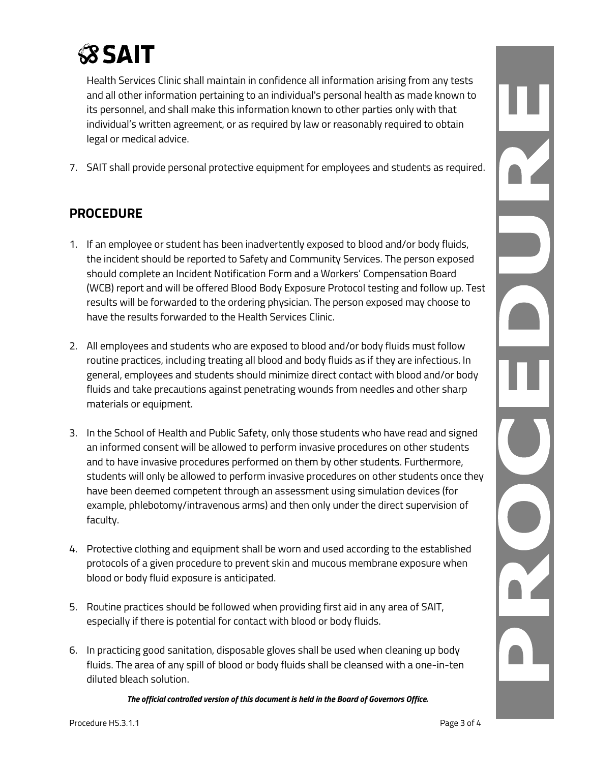

Health Services Clinic shall maintain in confidence all information arising from any tests and all other information pertaining to an individual's personal health as made known to its personnel, and shall make this information known to other parties only with that individual's written agreement, or as required by law or reasonably required to obtain legal or medical advice.

7. SAIT shall provide personal protective equipment for employees and students as required.

## **PROCEDURE**

- 1. If an employee or student has been inadvertently exposed to blood and/or body fluids, the incident should be reported to Safety and Community Services. The person exposed should complete an Incident Notification Form and a Workers' Compensation Board (WCB) report and will be offered Blood Body Exposure Protocol testing and follow up. Test results will be forwarded to the ordering physician. The person exposed may choose to have the results forwarded to the Health Services Clinic.
- 2. All employees and students who are exposed to blood and/or body fluids must follow routine practices, including treating all blood and body fluids as if they are infectious. In general, employees and students should minimize direct contact with blood and/or body fluids and take precautions against penetrating wounds from needles and other sharp materials or equipment.
- 3. In the School of Health and Public Safety, only those students who have read and signed an informed consent will be allowed to perform invasive procedures on other students and to have invasive procedures performed on them by other students. Furthermore, students will only be allowed to perform invasive procedures on other students once they have been deemed competent through an assessment using simulation devices (for example, phlebotomy/intravenous arms) and then only under the direct supervision of faculty.
- 4. Protective clothing and equipment shall be worn and used according to the established protocols of a given procedure to prevent skin and mucous membrane exposure when blood or body fluid exposure is anticipated.
- 5. Routine practices should be followed when providing first aid in any area of SAIT, especially if there is potential for contact with blood or body fluids.
- 6. In practicing good sanitation, disposable gloves shall be used when cleaning up body fluids. The area of any spill of blood or body fluids shall be cleansed with a one-in-ten diluted bleach solution.

*The official controlled version of this document is held in the Board of Governors Office.*